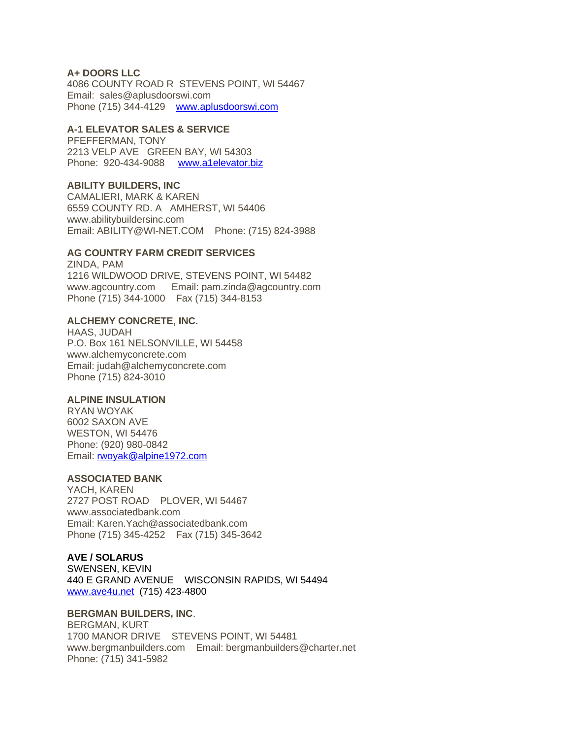### **A+ DOORS LLC**

4086 COUNTY ROAD R STEVENS POINT, WI 54467 Email: sales@aplusdoorswi.com Phone (715) 344-4129 [www.aplusdoorswi.com](http://www.aplusdoorswi.com/)

### **A-1 ELEVATOR SALES & SERVICE**

PFEFFERMAN, TONY 2213 VELP AVE GREEN BAY, WI 54303 Phone: 920-434-9088 [www.a1elevator.biz](http://www.a1elevator.biz/)

### **ABILITY BUILDERS, INC**

CAMALIERI, MARK & KAREN 6559 COUNTY RD. A AMHERST, WI 54406 www.abilitybuildersinc.com Email: ABILITY@WI-NET.COM Phone: (715) 824-3988

### **AG COUNTRY FARM CREDIT SERVICES**

ZINDA, PAM 1216 WILDWOOD DRIVE, STEVENS POINT, WI 54482 www.agcountry.com Email: pam.zinda@agcountry.com Phone (715) 344-1000 Fax (715) 344-8153

### **ALCHEMY CONCRETE, INC.**

HAAS, JUDAH P.O. Box 161 NELSONVILLE, WI 54458 www.alchemyconcrete.com Email: judah@alchemyconcrete.com Phone (715) 824-3010

#### **ALPINE INSULATION**

RYAN WOYAK 6002 SAXON AVE WESTON, WI 54476 Phone: (920) 980-0842 Email: [rwoyak@alpine1972.com](mailto:rwoyak@alpine1972.com)

## **ASSOCIATED BANK**

YACH, KAREN 2727 POST ROAD PLOVER, WI 54467 www.associatedbank.com Email: Karen.Yach@associatedbank.com Phone (715) 345-4252 Fax (715) 345-3642

#### **AVE / SOLARUS**

SWENSEN, KEVIN 440 E GRAND AVENUE WISCONSIN RAPIDS, WI 54494 [www.ave4u.net](https://www.ave4u.net/) (715) 423-4800

#### **BERGMAN BUILDERS, INC**.

BERGMAN, KURT 1700 MANOR DRIVE STEVENS POINT, WI 54481 www.bergmanbuilders.com Email: bergmanbuilders@charter.net Phone: (715) 341-5982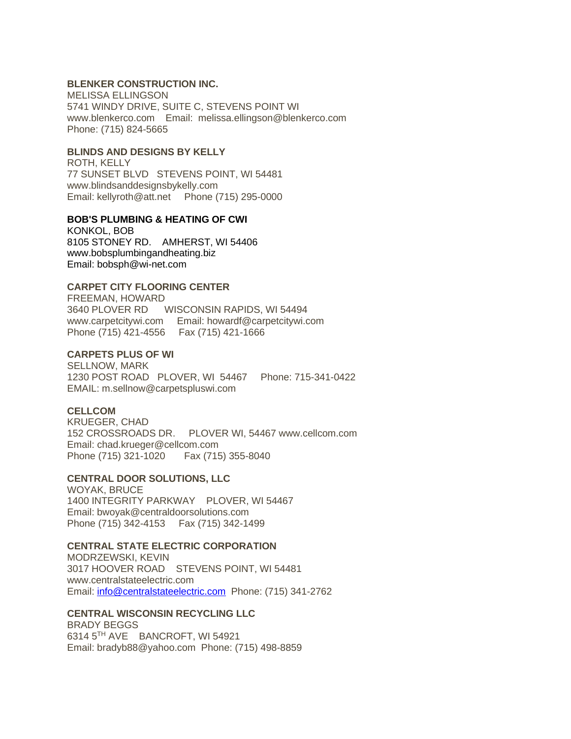### **BLENKER CONSTRUCTION INC.**

MELISSA ELLINGSON 5741 WINDY DRIVE, SUITE C, STEVENS POINT WI www.blenkerco.com Email: melissa.ellingson@blenkerco.com Phone: (715) 824-5665

### **BLINDS AND DESIGNS BY KELLY**

ROTH, KELLY 77 SUNSET BLVD STEVENS POINT, WI 54481 www.blindsanddesignsbykelly.com Email: kellyroth@att.net Phone (715) 295-0000

### **BOB'S PLUMBING & HEATING OF CWI**

KONKOL, BOB 8105 STONEY RD. AMHERST, WI 54406 www.bobsplumbingandheating.biz Email: bobsph@wi-net.com

## **CARPET CITY FLOORING CENTER**

FREEMAN, HOWARD 3640 PLOVER RD WISCONSIN RAPIDS, WI 54494 www.carpetcitywi.com Email: howardf@carpetcitywi.com Phone (715) 421-4556 Fax (715) 421-1666

### **CARPETS PLUS OF WI**

SELLNOW, MARK 1230 POST ROAD PLOVER, WI 54467 Phone: 715-341-0422 EMAIL: m.sellnow@carpetspluswi.com

#### **CELLCOM**

KRUEGER, CHAD 152 CROSSROADS DR. PLOVER WI, 54467 www.cellcom.com Email: chad.krueger@cellcom.com Phone (715) 321-1020 Fax (715) 355-8040

## **CENTRAL DOOR SOLUTIONS, LLC**

WOYAK, BRUCE 1400 INTEGRITY PARKWAY PLOVER, WI 54467 Email: bwoyak@centraldoorsolutions.com Phone (715) 342-4153 Fax (715) 342-1499

## **CENTRAL STATE ELECTRIC CORPORATION**

MODRZEWSKI, KEVIN 3017 HOOVER ROAD STEVENS POINT, WI 54481 www.centralstateelectric.com Email: [info@centralstateelectric.com](mailto:info@centralstateelectric.com) Phone: (715) 341-2762

### **CENTRAL WISCONSIN RECYCLING LLC**

BRADY BEGGS 6314 5TH AVE BANCROFT, WI 54921 Email: bradyb88@yahoo.com Phone: (715) 498-8859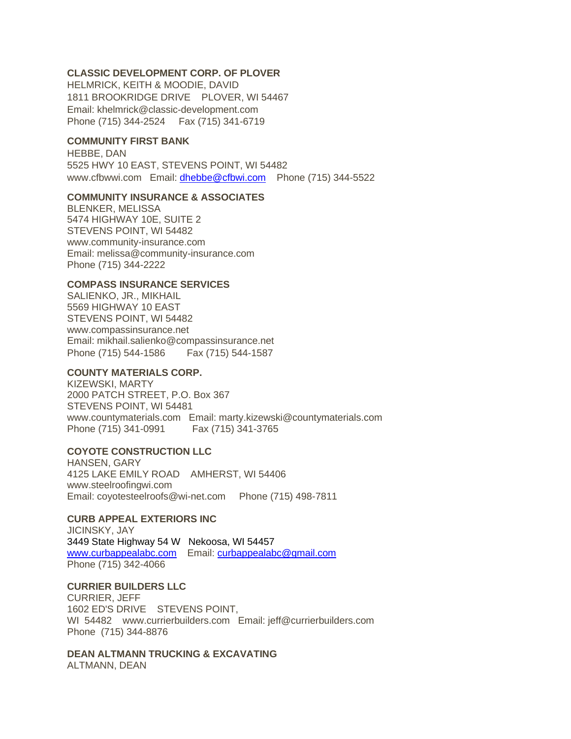## **CLASSIC DEVELOPMENT CORP. OF PLOVER**

HELMRICK, KEITH & MOODIE, DAVID 1811 BROOKRIDGE DRIVE PLOVER, WI 54467 Email: khelmrick@classic-development.com Phone (715) 344-2524 Fax (715) 341-6719

## **COMMUNITY FIRST BANK**

HEBBE, DAN 5525 HWY 10 EAST, STEVENS POINT, WI 54482 www.cfbwwi.com Email: [dhebbe@cfbwi.com](mailto:dhebbe@cfbwi.com) Phone (715) 344-5522

#### **COMMUNITY INSURANCE & ASSOCIATES**

BLENKER, MELISSA 5474 HIGHWAY 10E, SUITE 2 STEVENS POINT, WI 54482 www.community-insurance.com Email: melissa@community-insurance.com Phone (715) 344-2222

### **COMPASS INSURANCE SERVICES**

SALIENKO, JR., MIKHAIL 5569 HIGHWAY 10 EAST STEVENS POINT, WI 54482 www.compassinsurance.net Email: mikhail.salienko@compassinsurance.net Phone (715) 544-1586 Fax (715) 544-1587

#### **COUNTY MATERIALS CORP.**

KIZEWSKI, MARTY 2000 PATCH STREET, P.O. Box 367 STEVENS POINT, WI 54481 www.countymaterials.com Email: marty.kizewski@countymaterials.com Phone (715) 341-0991 Fax (715) 341-3765

## **COYOTE CONSTRUCTION LLC**

HANSEN, GARY 4125 LAKE EMILY ROAD AMHERST, WI 54406 www.steelroofingwi.com Email: coyotesteelroofs@wi-net.com Phone (715) 498-7811

### **CURB APPEAL EXTERIORS INC**

JICINSKY, JAY 3449 State Highway 54 W Nekoosa, WI 54457 [www.curbappealabc.com](http://www.curbappealabc.com/) Email: [curbappealabc@gmail.com](mailto:curbappealabc@gmail.com)  Phone (715) 342-4066

# **CURRIER BUILDERS LLC**

CURRIER, JEFF 1602 ED'S DRIVE STEVENS POINT, WI 54482 www.currierbuilders.com Email: jeff@currierbuilders.com Phone (715) 344-8876

## **DEAN ALTMANN TRUCKING & EXCAVATING**

ALTMANN, DEAN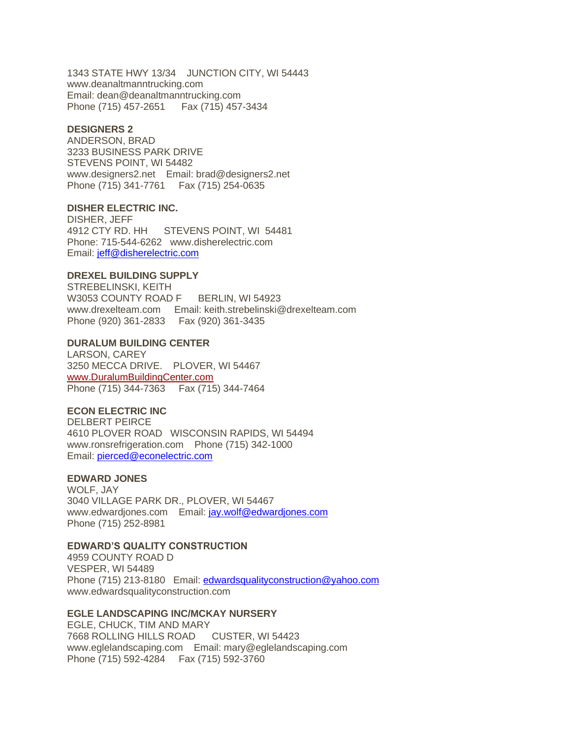1343 STATE HWY 13/34 JUNCTION CITY, WI 54443 www.deanaltmanntrucking.com Email: dean@deanaltmanntrucking.com Phone (715) 457-2651 Fax (715) 457-3434

### **DESIGNERS 2**

ANDERSON, BRAD 3233 BUSINESS PARK DRIVE STEVENS POINT, WI 54482 www.designers2.net Email: brad@designers2.net Phone (715) 341-7761 Fax (715) 254-0635

#### **DISHER ELECTRIC INC.**

DISHER, JEFF 4912 CTY RD. HH STEVENS POINT, WI 54481 Phone: 715-544-6262 www.disherelectric.com Email: [jeff@disherelectric.com](mailto:jeff@disherelectric.com)

#### **DREXEL BUILDING SUPPLY**

STREBELINSKI, KEITH W3053 COUNTY ROAD F BERLIN, WI 54923 www.drexelteam.com Email: keith.strebelinski@drexelteam.com Phone (920) 361-2833 Fax (920) 361-3435

### **DURALUM BUILDING CENTER**

LARSON, CAREY 3250 MECCA DRIVE. PLOVER, WI 54467 [www.DuralumBuildingCenter.com](http://www.duralumbuildingcenter.com/)  Phone (715) 344-7363 Fax (715) 344-7464

#### **ECON ELECTRIC INC**

DELBERT PEIRCE 4610 PLOVER ROAD WISCONSIN RAPIDS, WI 54494 www.ronsrefrigeration.com Phone (715) 342-1000 Email: [pierced@econelectric.com](mailto:pierced@econelectric.com)

### **EDWARD JONES**

WOLF, JAY 3040 VILLAGE PARK DR., PLOVER, WI 54467 www.edwardjones.com Email: [jay.wolf@edwardjones.com](mailto:jay.wolf@edwardjones.com) Phone (715) 252-8981

## **EDWARD'S QUALITY CONSTRUCTION**

4959 COUNTY ROAD D VESPER, WI 54489 Phone (715) 213-8180 Email: [edwardsqualityconstruction@yahoo.com](mailto:edwardsqualityconstruction@yahoo.com) www.edwardsqualityconstruction.com

#### **EGLE LANDSCAPING INC/MCKAY NURSERY**

EGLE, CHUCK, TIM AND MARY 7668 ROLLING HILLS ROAD CUSTER, WI 54423 www.eglelandscaping.com Email: mary@eglelandscaping.com Phone (715) 592-4284 Fax (715) 592-3760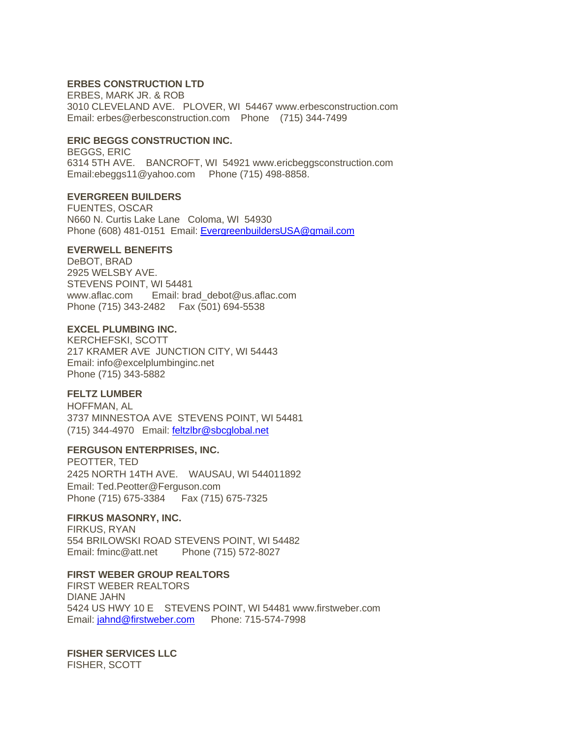### **ERBES CONSTRUCTION LTD**

ERBES, MARK JR. & ROB 3010 CLEVELAND AVE. PLOVER, WI 54467 www.erbesconstruction.com Email: erbes@erbesconstruction.com Phone (715) 344-7499

### **ERIC BEGGS CONSTRUCTION INC.**

BEGGS, ERIC 6314 5TH AVE. BANCROFT, WI 54921 www.ericbeggsconstruction.com Email:ebeggs11@yahoo.com Phone (715) 498-8858.

#### **EVERGREEN BUILDERS**

FUENTES, OSCAR N660 N. Curtis Lake Lane Coloma, WI 54930 Phone (608) 481-0151 Email: [EvergreenbuildersUSA@gmail.com](mailto:EvergreenbuildersUSA@gmail.com)

#### **EVERWELL BENEFITS**

DeBOT, BRAD 2925 WELSBY AVE. STEVENS POINT, WI 54481 www.aflac.com Email: brad\_debot@us.aflac.com Phone (715) 343-2482 Fax (501) 694-5538

#### **EXCEL PLUMBING INC.**

KERCHEFSKI, SCOTT 217 KRAMER AVE JUNCTION CITY, WI 54443 Email: info@excelplumbinginc.net Phone (715) 343-5882

#### **FELTZ LUMBER**

HOFFMAN, AL 3737 MINNESTOA AVE STEVENS POINT, WI 54481 (715) 344-4970 Email: [feltzlbr@sbcglobal.net](mailto:feltzlbr@sbcglobal.net)

#### **FERGUSON ENTERPRISES, INC.**

PEOTTER, TED 2425 NORTH 14TH AVE. WAUSAU, WI 544011892 Email: Ted.Peotter@Ferguson.com Phone (715) 675-3384 Fax (715) 675-7325

## **FIRKUS MASONRY, INC.**

FIRKUS, RYAN 554 BRILOWSKI ROAD STEVENS POINT, WI 54482 Email: fminc@att.net Phone (715) 572-8027

## **FIRST WEBER GROUP REALTORS**

FIRST WEBER REALTORS DIANE JAHN 5424 US HWY 10 E STEVENS POINT, WI 54481 www.firstweber.com Email: [jahnd@firstweber.com](mailto:jahnd@firstweber.com) Phone: 715-574-7998

### **FISHER SERVICES LLC**

FISHER, SCOTT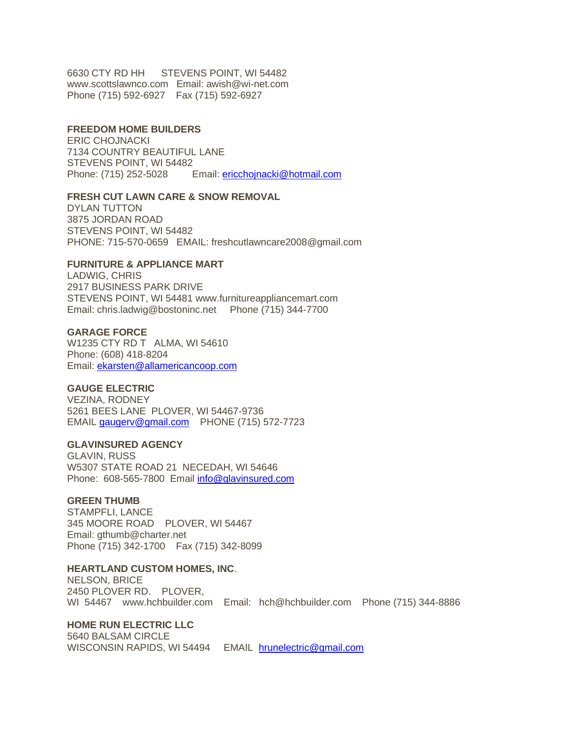6630 CTY RD HH STEVENS POINT, WI 54482 www.scottslawnco.com Email: awish@wi-net.com Phone (715) 592-6927 Fax (715) 592-6927

### **FREEDOM HOME BUILDERS**

ERIC CHOJNACKI 7134 COUNTRY BEAUTIFUL LANE STEVENS POINT, WI 54482 Phone: (715) 252-5028 Email: [ericchojnacki@hotmail.com](mailto:ericchojnacki@hotmail.com)

## **FRESH CUT LAWN CARE & SNOW REMOVAL**

DYLAN TUTTON 3875 JORDAN ROAD STEVENS POINT, WI 54482 PHONE: 715-570-0659 EMAIL: freshcutlawncare2008@gmail.com

#### **FURNITURE & APPLIANCE MART**

LADWIG, CHRIS 2917 BUSINESS PARK DRIVE STEVENS POINT, WI 54481 www.furnitureappliancemart.com Email: chris.ladwig@bostoninc.net Phone (715) 344-7700

#### **GARAGE FORCE**

W1235 CTY RD T ALMA, WI 54610 Phone: (608) 418-8204 Email: [ekarsten@allamericancoop.com](mailto:ekarsten@allamericancoop.com)

### **GAUGE ELECTRIC**

VEZINA, RODNEY 5261 BEES LANE PLOVER, WI 54467-9736 EMAIL [gaugerv@gmail.com](mailto:gaugerv@gmail.com) PHONE (715) 572-7723

#### **GLAVINSURED AGENCY**

GLAVIN, RUSS W5307 STATE ROAD 21 NECEDAH, WI 54646 Phone: 608-565-7800 Email [info@glavinsured.com](mailto:info@glavinsured.com)

## **GREEN THUMB**

STAMPFLI, LANCE 345 MOORE ROAD PLOVER, WI 54467 Email: gthumb@charter.net Phone (715) 342-1700 Fax (715) 342-8099

#### **HEARTLAND CUSTOM HOMES, INC**.

NELSON, BRICE 2450 PLOVER RD. PLOVER, WI 54467 www.hchbuilder.com Email: hch@hchbuilder.com Phone (715) 344-8886

#### **HOME RUN ELECTRIC LLC**

5640 BALSAM CIRCLE WISCONSIN RAPIDS, WI 54494 EMAIL [hrunelectric@gmail.com](mailto:hrunelectric@gmail.com)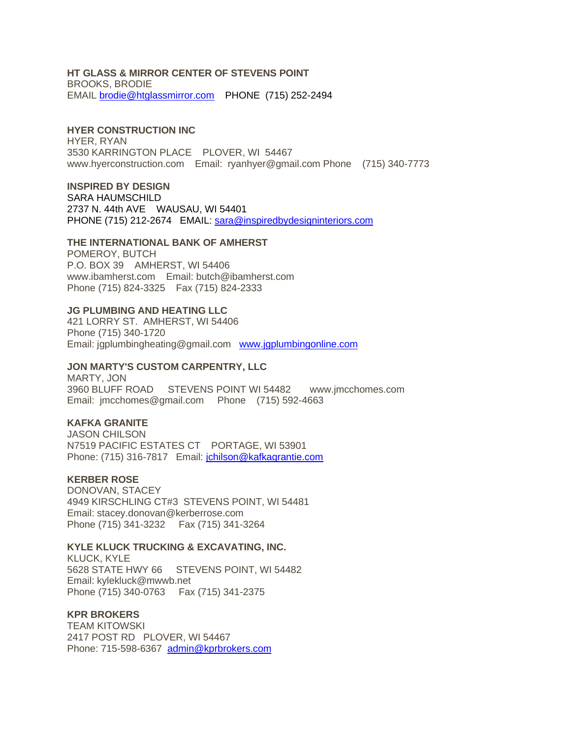### **HT GLASS & MIRROR CENTER OF STEVENS POINT**

BROOKS, BRODIE EMAIL [brodie@htglassmirror.com](mailto:brodie@htglassmirror.com) PHONE (715) 252-2494

### **HYER CONSTRUCTION INC**

HYER, RYAN 3530 KARRINGTON PLACE PLOVER, WI 54467 www.hyerconstruction.com Email: ryanhyer@gmail.com Phone (715) 340-7773

**INSPIRED BY DESIGN** SARA HAUMSCHILD 2737 N. 44th AVE WAUSAU, WI 54401 PHONE (715) 212-2674 EMAIL: [sara@inspiredbydesigninteriors.com](mailto:sara@inspiredbydesigninteriors.com)

### **THE INTERNATIONAL BANK OF AMHERST**

POMEROY, BUTCH P.O. BOX 39 AMHERST, WI 54406 www.ibamherst.com Email: butch@ibamherst.com Phone (715) 824-3325 Fax (715) 824-2333

#### **JG PLUMBING AND HEATING LLC**

421 LORRY ST. AMHERST, WI 54406 Phone (715) 340-1720 Email: jgplumbingheating@gmail.com [www.jgplumbingonline.com](http://www.jgplumbingonline.com/)

#### **JON MARTY'S CUSTOM CARPENTRY, LLC**

MARTY, JON 3960 BLUFF ROAD STEVENS POINT WI 54482 www.jmcchomes.com Email: jmcchomes@gmail.com Phone (715) 592-4663

### **KAFKA GRANITE**

JASON CHILSON N7519 PACIFIC ESTATES CT PORTAGE, WI 53901 Phone: (715) 316-7817 Email: [jchilson@kafkagrantie.com](mailto:jchilson@kafkagrantie.com)

#### **KERBER ROSE**

DONOVAN, STACEY 4949 KIRSCHLING CT#3 STEVENS POINT, WI 54481 Email: stacey.donovan@kerberrose.com Phone (715) 341-3232 Fax (715) 341-3264

### **KYLE KLUCK TRUCKING & EXCAVATING, INC.**

KLUCK, KYLE 5628 STATE HWY 66 STEVENS POINT, WI 54482 Email: kylekluck@mwwb.net Phone (715) 340-0763 Fax (715) 341-2375

#### **KPR BROKERS**

TEAM KITOWSKI 2417 POST RD PLOVER, WI 54467 Phone: 715-598-6367 [admin@kprbrokers.com](mailto:admin@kprbrokers.com)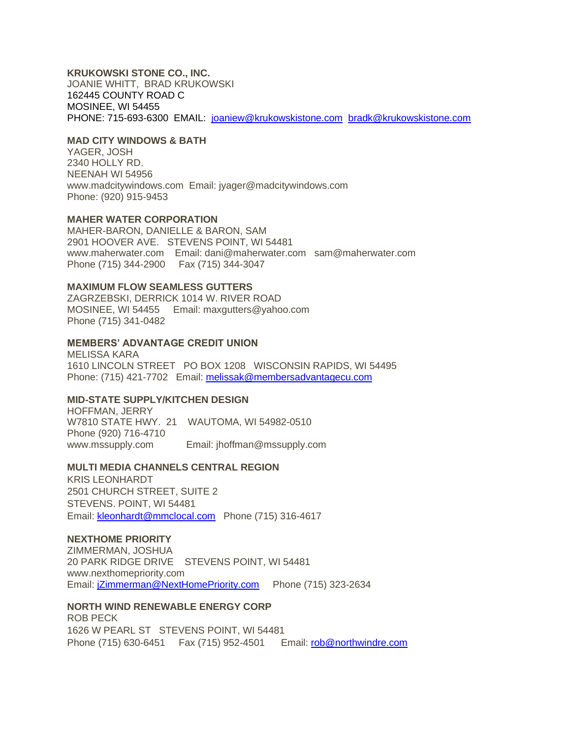### **KRUKOWSKI STONE CO., INC.**

JOANIE WHITT, BRAD KRUKOWSKI 162445 COUNTY ROAD C MOSINEE, WI 54455 PHONE: 715-693-6300 EMAIL: [joaniew@krukowskistone.com](mailto:joaniew@krukowskistone.com) [bradk@krukowskistone.com](mailto:bradk@krukowskistone.com)

### **MAD CITY WINDOWS & BATH**

YAGER, JOSH 2340 HOLLY RD. NEENAH WI 54956 www.madcitywindows.com Email: jyager@madcitywindows.com Phone: (920) 915-9453

### **MAHER WATER CORPORATION**

MAHER-BARON, DANIELLE & BARON, SAM 2901 HOOVER AVE. STEVENS POINT, WI 54481 www.maherwater.com Email: dani@maherwater.com sam@maherwater.com Phone (715) 344-2900 Fax (715) 344-3047

### **MAXIMUM FLOW SEAMLESS GUTTERS**

ZAGRZEBSKI, DERRICK 1014 W. RIVER ROAD MOSINEE, WI 54455 Email: maxgutters@yahoo.com Phone (715) 341-0482

### **MEMBERS' ADVANTAGE CREDIT UNION**

MELISSA KARA 1610 LINCOLN STREET PO BOX 1208 WISCONSIN RAPIDS, WI 54495 Phone: (715) 421-7702 Email: [melissak@membersadvantagecu.com](mailto:melissak@membersadvantagecu.com)

### **MID-STATE SUPPLY/KITCHEN DESIGN**

HOFFMAN, JERRY W7810 STATE HWY. 21 WAUTOMA, WI 54982-0510 Phone (920) 716-4710 www.mssupply.com Email: jhoffman@mssupply.com

### **MULTI MEDIA CHANNELS CENTRAL REGION**

KRIS LEONHARDT 2501 CHURCH STREET, SUITE 2 STEVENS. POINT, WI 54481 Email: [kleonhardt@mmclocal.com](mailto:kleonhardt@mmclocal.com) Phone (715) 316-4617

#### **NEXTHOME PRIORITY**

ZIMMERMAN, JOSHUA 20 PARK RIDGE DRIVE STEVENS POINT, WI 54481 www.nexthomepriority.com Email: [jZimmerman@NextHomePriority.com](mailto:jZimmerman@NextHomePriority.com) Phone (715) 323-2634

## **NORTH WIND RENEWABLE ENERGY CORP**

ROB PECK 1626 W PEARL ST STEVENS POINT, WI 54481 Phone (715) 630-6451 Fax (715) 952-4501 Email: [rob@northwindre.com](mailto:rob@northwindre.com)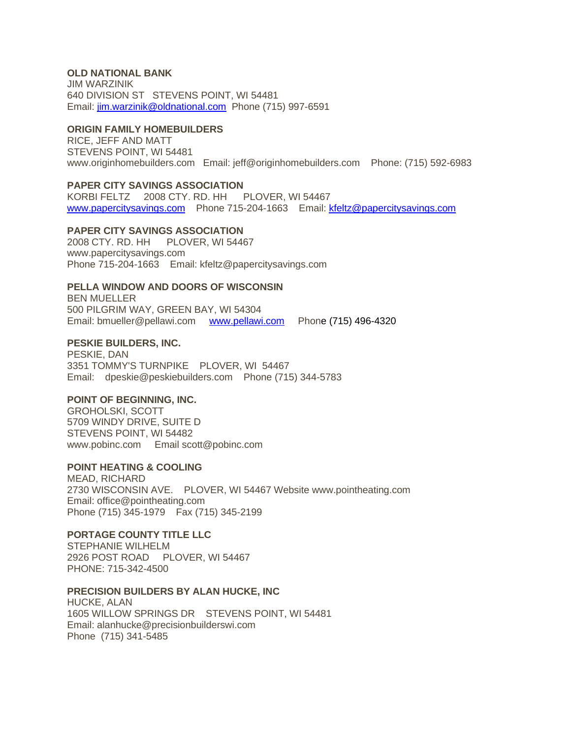## **OLD NATIONAL BANK**

JIM WARZINIK 640 DIVISION ST STEVENS POINT, WI 54481 Email: [jim.warzinik@oldnational.com](mailto:jim.warzinik@oldnational.com) Phone (715) 997-6591

### **ORIGIN FAMILY HOMEBUILDERS**

RICE, JEFF AND MATT STEVENS POINT, WI 54481 www.originhomebuilders.com Email: jeff@originhomebuilders.com Phone: (715) 592-6983

### **PAPER CITY SAVINGS ASSOCIATION**

KORBI FELTZ 2008 CTY. RD. HH PLOVER, WI 54467 [www.papercitysavings.com](http://www.papercitysavings.com/) Phone 715-204-1663 Email: [kfeltz@papercitysavings.com](mailto:kfeltz@papercitysavings.com)

### **PAPER CITY SAVINGS ASSOCIATION**

2008 CTY. RD. HH PLOVER, WI 54467 www.papercitysavings.com Phone 715-204-1663 Email: kfeltz@papercitysavings.com

### **PELLA WINDOW AND DOORS OF WISCONSIN**

BEN MUELLER 500 PILGRIM WAY, GREEN BAY, WI 54304 Email: bmueller@pellawi.com [www.pellawi.com](http://www.pellawi.com/) Phone (715) 496-4320

### **PESKIE BUILDERS, INC.**

PESKIE, DAN 3351 TOMMY'S TURNPIKE PLOVER, WI 54467 Email: dpeskie@peskiebuilders.com Phone (715) 344-5783

### **POINT OF BEGINNING, INC.**

GROHOLSKI, SCOTT 5709 WINDY DRIVE, SUITE D STEVENS POINT, WI 54482 www.pobinc.com Email scott@pobinc.com

### **POINT HEATING & COOLING**

MEAD, RICHARD 2730 WISCONSIN AVE. PLOVER, WI 54467 Website www.pointheating.com Email: office@pointheating.com Phone (715) 345-1979 Fax (715) 345-2199

### **PORTAGE COUNTY TITLE LLC**

STEPHANIE WILHELM 2926 POST ROAD PLOVER, WI 54467 PHONE: 715-342-4500

#### **PRECISION BUILDERS BY ALAN HUCKE, INC**

HUCKE, ALAN 1605 WILLOW SPRINGS DR STEVENS POINT, WI 54481 Email: alanhucke@precisionbuilderswi.com Phone (715) 341-5485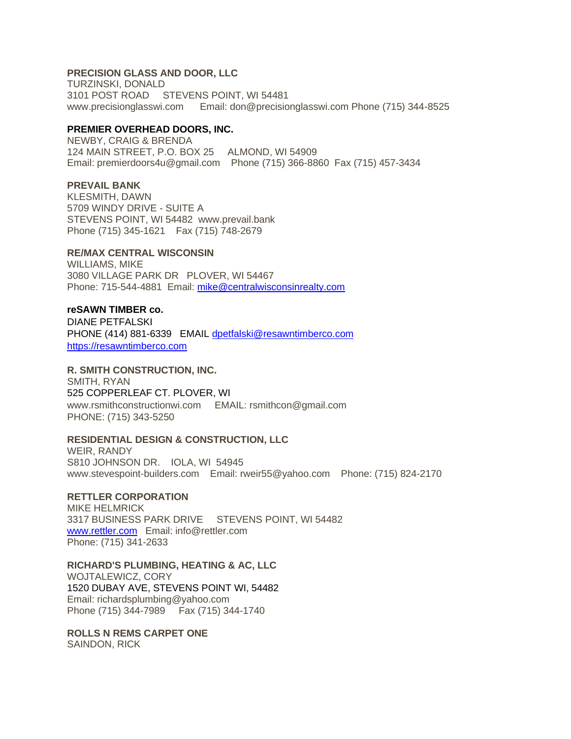## **PRECISION GLASS AND DOOR, LLC**

TURZINSKI, DONALD 3101 POST ROAD STEVENS POINT, WI 54481 www.precisionglasswi.com Email: don@precisionglasswi.com Phone (715) 344-8525

### **PREMIER OVERHEAD DOORS, INC.**

NEWBY, CRAIG & BRENDA 124 MAIN STREET, P.O. BOX 25 ALMOND, WI 54909 Email: premierdoors4u@gmail.com Phone (715) 366-8860 Fax (715) 457-3434

## **PREVAIL BANK**

KLESMITH, DAWN 5709 WINDY DRIVE - SUITE A STEVENS POINT, WI 54482 www.prevail.bank Phone (715) 345-1621 Fax (715) 748-2679

## **RE/MAX CENTRAL WISCONSIN**

WILLIAMS, MIKE 3080 VILLAGE PARK DR PLOVER, WI 54467 Phone: 715-544-4881 Email: [mike@centralwisconsinrealty.com](mailto:mike@centralwisconsinrealty.com)

#### **reSAWN TIMBER co.**

DIANE PETFALSKI PHONE (414) 881-6339 EMAIL [dpetfalski@resawntimberco.com](mailto:dpetfalski@resawntimberco.com) [https://resawntimberco.com](https://resawntimberco.com/)

### **R. SMITH CONSTRUCTION, INC.**

SMITH, RYAN 525 COPPERLEAF CT. PLOVER, WI www.rsmithconstructionwi.com EMAIL: rsmithcon@gmail.com PHONE: (715) 343-5250

#### **RESIDENTIAL DESIGN & CONSTRUCTION, LLC**

WEIR, RANDY S810 JOHNSON DR. IOLA, WI 54945 www.stevespoint-builders.com Email: rweir55@yahoo.com Phone: (715) 824-2170

### **RETTLER CORPORATION**

MIKE HELMRICK 3317 BUSINESS PARK DRIVE STEVENS POINT, WI 54482 [www.rettler.com](http://www.rettler.com/) Email: info@rettler.com Phone: (715) 341-2633

## **RICHARD'S PLUMBING, HEATING & AC, LLC**

WOJTALEWICZ, CORY 1520 DUBAY AVE, STEVENS POINT WI, 54482 Email: richardsplumbing@yahoo.com Phone (715) 344-7989 Fax (715) 344-1740

### **ROLLS N REMS CARPET ONE**

SAINDON, RICK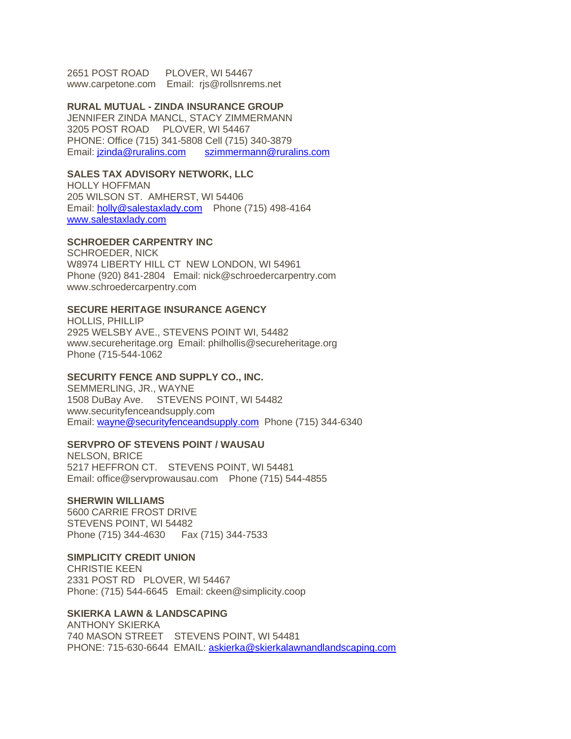2651 POST ROAD PLOVER, WI 54467 www.carpetone.com Email: rjs@rollsnrems.net

#### **RURAL MUTUAL - ZINDA INSURANCE GROUP**

JENNIFER ZINDA MANCL, STACY ZIMMERMANN 3205 POST ROAD PLOVER, WI 54467 PHONE: Office (715) 341-5808 Cell (715) 340-3879 Email: *jzinda@ruralins.com [szimmermann@ruralins.com](mailto:szimmermann@ruralins.com)* 

## **SALES TAX ADVISORY NETWORK, LLC**

HOLLY HOFFMAN 205 WILSON ST. AMHERST, WI 54406 Email: [holly@salestaxlady.com](mailto:holly@salestaxlady.com) Phone (715) 498-4164 [www.salestaxlady.com](http://www.salestaxlady.com/)

### **SCHROEDER CARPENTRY INC**

SCHROEDER, NICK W8974 LIBERTY HILL CT NEW LONDON, WI 54961 Phone (920) 841-2804 Email: nick@schroedercarpentry.com www.schroedercarpentry.com

## **SECURE HERITAGE INSURANCE AGENCY**

HOLLIS, PHILLIP 2925 WELSBY AVE., STEVENS POINT WI, 54482 www.secureheritage.org Email: philhollis@secureheritage.org Phone (715-544-1062

#### **SECURITY FENCE AND SUPPLY CO., INC.**

SEMMERLING, JR., WAYNE 1508 DuBay Ave. STEVENS POINT, WI 54482 www.securityfenceandsupply.com Email: [wayne@securityfenceandsupply.com](mailto:wayne@securityfenceandsupply.com) Phone (715) 344-6340

#### **SERVPRO OF STEVENS POINT / WAUSAU**

NELSON, BRICE 5217 HEFFRON CT. STEVENS POINT, WI 54481 Email: office@servprowausau.com Phone (715) 544-4855

### **SHERWIN WILLIAMS**

5600 CARRIE FROST DRIVE STEVENS POINT, WI 54482 Phone (715) 344-4630 Fax (715) 344-7533

#### **SIMPLICITY CREDIT UNION**

CHRISTIE KEEN 2331 POST RD PLOVER, WI 54467 Phone: (715) 544-6645 Email: ckeen@simplicity.coop

#### **SKIERKA LAWN & LANDSCAPING**

ANTHONY SKIERKA 740 MASON STREET STEVENS POINT, WI 54481 PHONE: 715-630-6644 EMAIL: [askierka@skierkalawnandlandscaping.com](mailto:askierka@skierkalawnandlandscaping.com)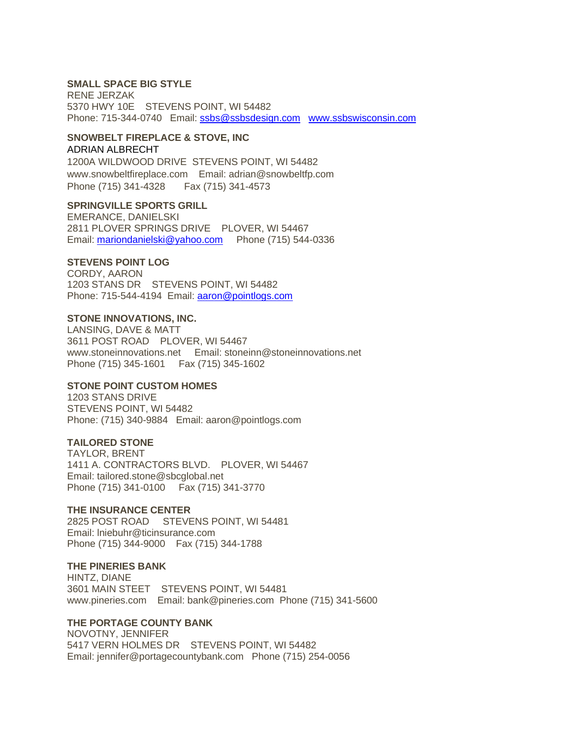### **SMALL SPACE BIG STYLE**

RENE JERZAK 5370 HWY 10E STEVENS POINT, WI 54482 Phone: 715-344-0740 Email: [ssbs@ssbsdesign.com](mailto:ssbs@ssbsdesign.com) [www.ssbswisconsin.com](http://www.ssbswisconsin.com/)

### **SNOWBELT FIREPLACE & STOVE, INC**

#### ADRIAN ALBRECHT

1200A WILDWOOD DRIVE STEVENS POINT, WI 54482 www.snowbeltfireplace.com Email: adrian@snowbeltfp.com Phone (715) 341-4328 Fax (715) 341-4573

### **SPRINGVILLE SPORTS GRILL**

EMERANCE, DANIELSKI 2811 PLOVER SPRINGS DRIVE PLOVER, WI 54467 Email: [mariondanielski@yahoo.com](mailto:mariondanielski@yahoo.com) Phone (715) 544-0336

## **STEVENS POINT LOG**

CORDY, AARON 1203 STANS DR STEVENS POINT, WI 54482 Phone: 715-544-4194 Email: [aaron@pointlogs.com](mailto:aaron@pointlogs.com)

#### **STONE INNOVATIONS, INC.**

LANSING, DAVE & MATT 3611 POST ROAD PLOVER, WI 54467 www.stoneinnovations.net Email: stoneinn@stoneinnovations.net Phone (715) 345-1601 Fax (715) 345-1602

#### **STONE POINT CUSTOM HOMES**

1203 STANS DRIVE STEVENS POINT, WI 54482 Phone: (715) 340-9884 Email: aaron@pointlogs.com

### **TAILORED STONE**

TAYLOR, BRENT 1411 A. CONTRACTORS BLVD. PLOVER, WI 54467 Email: tailored.stone@sbcglobal.net Phone (715) 341-0100 Fax (715) 341-3770

#### **THE INSURANCE CENTER**

2825 POST ROAD STEVENS POINT, WI 54481 Email: lniebuhr@ticinsurance.com Phone (715) 344-9000 Fax (715) 344-1788

#### **THE PINERIES BANK**

HINTZ, DIANE 3601 MAIN STEET STEVENS POINT, WI 54481 www.pineries.com Email: bank@pineries.com Phone (715) 341-5600

### **THE PORTAGE COUNTY BANK**

NOVOTNY, JENNIFER 5417 VERN HOLMES DR STEVENS POINT, WI 54482 Email: jennifer@portagecountybank.com Phone (715) 254-0056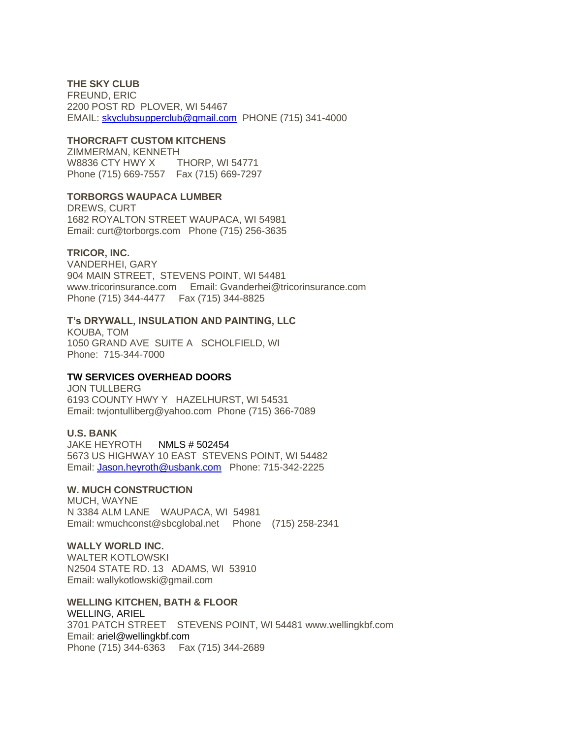## **THE SKY CLUB**

FREUND, ERIC 2200 POST RD PLOVER, WI 54467 EMAIL: [skyclubsupperclub@gmail.com](mailto:skyclubsupperclub@gmail.com) PHONE (715) 341-4000

### **THORCRAFT CUSTOM KITCHENS**

ZIMMERMAN, KENNETH W8836 CTY HWY X THORP, WI 54771 Phone (715) 669-7557 Fax (715) 669-7297

#### **TORBORGS WAUPACA LUMBER**

DREWS, CURT 1682 ROYALTON STREET WAUPACA, WI 54981 Email: curt@torborgs.com Phone (715) 256-3635

#### **TRICOR, INC.**

VANDERHEI, GARY 904 MAIN STREET, STEVENS POINT, WI 54481 www.tricorinsurance.com Email: Gvanderhei@tricorinsurance.com Phone (715) 344-4477 Fax (715) 344-8825

### **T's DRYWALL, INSULATION AND PAINTING, LLC**

KOUBA, TOM 1050 GRAND AVE SUITE A SCHOLFIELD, WI Phone: 715-344-7000

### **TW SERVICES OVERHEAD DOORS**

JON TULLBERG 6193 COUNTY HWY Y HAZELHURST, WI 54531 Email: twjontulliberg@yahoo.com Phone (715) 366-7089

#### **U.S. BANK**

JAKE HEYROTH NMLS # 502454 5673 US HIGHWAY 10 EAST STEVENS POINT, WI 54482 Email: [Jason.heyroth@usbank.com](mailto:Jason.heyroth@usbank.com) Phone: 715-342-2225

#### **W. MUCH CONSTRUCTION**

MUCH, WAYNE N 3384 ALM LANE WAUPACA, WI 54981 Email: wmuchconst@sbcglobal.net Phone (715) 258-2341

### **WALLY WORLD INC.**

WAI TER KOTI OWSKI N2504 STATE RD. 13 ADAMS, WI 53910 Email: wallykotlowski@gmail.com

#### **WELLING KITCHEN, BATH & FLOOR**

WELLING, ARIEL 3701 PATCH STREET STEVENS POINT, WI 54481 www.wellingkbf.com Email: ariel@wellingkbf.com Phone (715) 344-6363 Fax (715) 344-2689